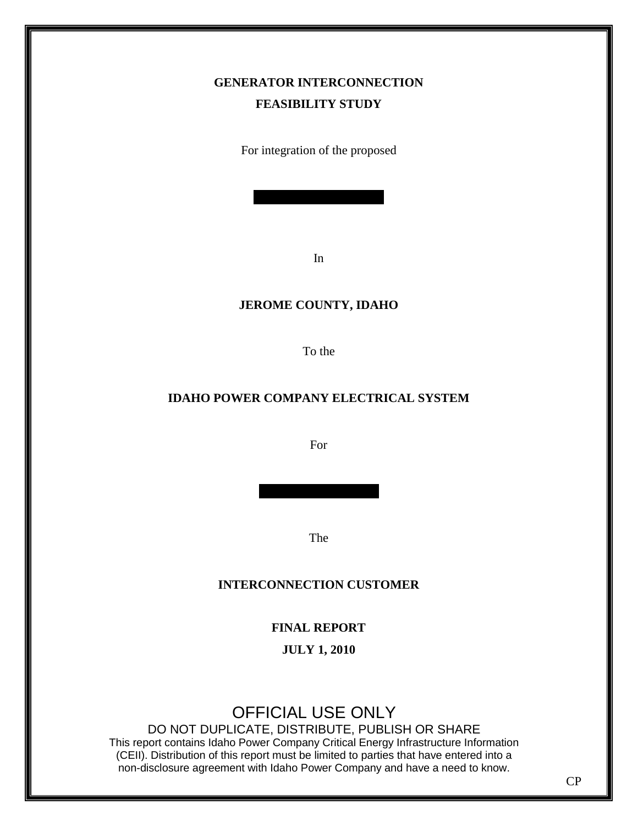## **GENERATOR INTERCONNECTION FEASIBILITY STUDY**

For integration of the proposed

In

## **JEROME COUNTY, IDAHO**

To the

## **IDAHO POWER COMPANY ELECTRICAL SYSTEM**

For

The

## **INTERCONNECTION CUSTOMER**

**FINAL REPORT**

**JULY 1, 2010**

# OFFICIAL USE ONLY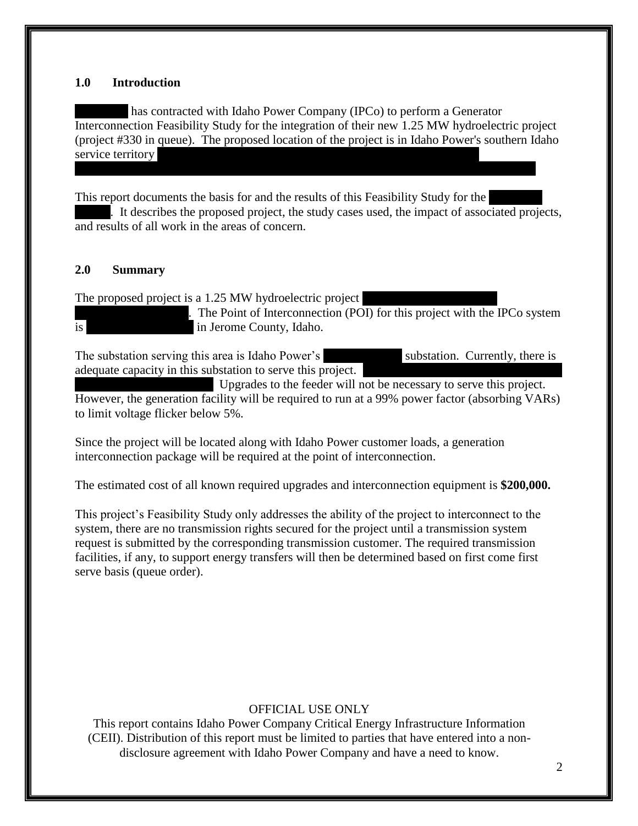#### **1.0 Introduction**

has contracted with Idaho Power Company (IPCo) to perform a Generator Interconnection Feasibility Study for the integration of their new 1.25 MW hydroelectric project (project #330 in queue). The proposed location of the project is in Idaho Power's southern Idaho service territory

This report documents the basis for and the results of this Feasibility Study for the . It describes the proposed project, the study cases used, the impact of associated projects, and results of all work in the areas of concern.

## **2.0 Summary**

The proposed project is a  $1.25$  MW hydroelectric project

The Point of Interconnection (POI) for this project with the IPCo system is in Jerome County, Idaho.

The substation serving this area is Idaho Power's substation. Currently, there is adequate capacity in this substation to serve this project.

Upgrades to the feeder will not be necessary to serve this project. However, the generation facility will be required to run at a 99% power factor (absorbing VARs) to limit voltage flicker below 5%.

Since the project will be located along with Idaho Power customer loads, a generation interconnection package will be required at the point of interconnection.

The estimated cost of all known required upgrades and interconnection equipment is **\$200,000.**

This project's Feasibility Study only addresses the ability of the project to interconnect to the system, there are no transmission rights secured for the project until a transmission system request is submitted by the corresponding transmission customer. The required transmission facilities, if any, to support energy transfers will then be determined based on first come first serve basis (queue order).

## OFFICIAL USE ONLY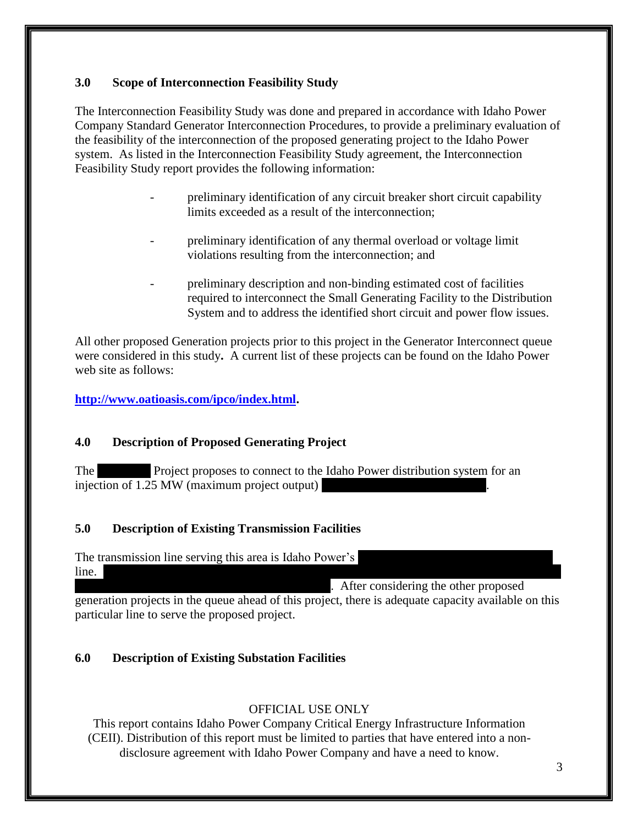## **3.0 Scope of Interconnection Feasibility Study**

The Interconnection Feasibility Study was done and prepared in accordance with Idaho Power Company Standard Generator Interconnection Procedures, to provide a preliminary evaluation of the feasibility of the interconnection of the proposed generating project to the Idaho Power system. As listed in the Interconnection Feasibility Study agreement, the Interconnection Feasibility Study report provides the following information:

- preliminary identification of any circuit breaker short circuit capability limits exceeded as a result of the interconnection;
- preliminary identification of any thermal overload or voltage limit violations resulting from the interconnection; and
- preliminary description and non-binding estimated cost of facilities required to interconnect the Small Generating Facility to the Distribution System and to address the identified short circuit and power flow issues.

All other proposed Generation projects prior to this project in the Generator Interconnect queue were considered in this study**.** A current list of these projects can be found on the Idaho Power web site as follows:

**[http://www.oatioasis.com/ipco/index.html.](http://www.oatioasis.com/ipco/index.html)**

## **4.0 Description of Proposed Generating Project**

The Project proposes to connect to the Idaho Power distribution system for an injection of  $1.25$  MW (maximum project output)

## **5.0 Description of Existing Transmission Facilities**

## The transmission line serving this area is Idaho Power's

 $\ln 2.85$  milie 138 kV line. continuous the other proposed. generation projects in the queue ahead of this project, there is adequate capacity available on this

particular line to serve the proposed project.

## **6.0 Description of Existing Substation Facilities**

## OFFICIAL USE ONLY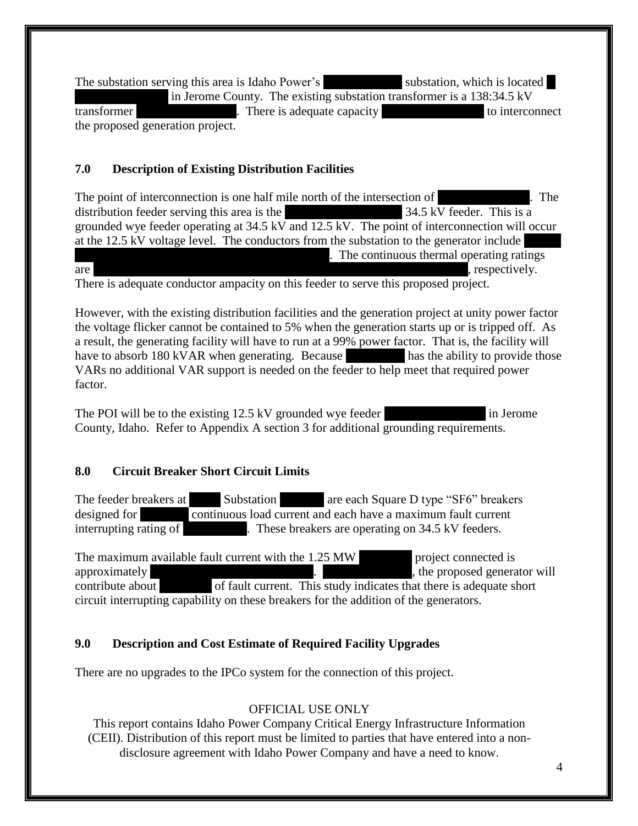The substation serving this area is Idaho Power's substation, which is located at  $\blacksquare$ in Jerome County. The existing substation transformer is a  $138:34.5 \text{ kV}$ transformer There is adequate capacity at HYDA substantial to interconnect the proposed generation project.

## **7.0 Description of Existing Distribution Facilities**

The point of interconnection is one half mile north of the intersection of  $\blacksquare$ . The distribution feeder serving this area is the  $\frac{34.5 \text{ kV}}{4.5 \text{ kV}}$  feeder. This is a grounded wye feeder operating at 34.5 kV and 12.5 kV. The point of interconnection will occur at the  $12.5 \text{ kV}$  voltage level. The conductors from the substation to the generator include The continuous thermal operating ratings. are 20.9 MVA, 55.7 MVA, 11.6 MVA, 11.6 MVA, 11.6 MVA, 11.6 MVA, 12.29 MVA, 12.29 MVA and 3.29 MVA and 3.29 MVA

There is adequate conductor ampacity on this feeder to serve this proposed project.

However, with the existing distribution facilities and the generation project at unity power factor the voltage flicker cannot be contained to 5% when the generation starts up or is tripped off. As a result, the generating facility will have to run at a 99% power factor. That is, the facility will have to absorb 180 kVAR when generating. Because has the ability to provide those VARs no additional VAR support is needed on the feeder to help meet that required power factor.

The POI will be to the existing  $12.5 \text{ kV}$  grounded wye feeder in Jerome County, Idaho. Refer to Appendix A section 3 for additional grounding requirements.

## **8.0 Circuit Breaker Short Circuit Limits**

The feeder breakers at Substation (Substation are each Square D type "SF6" breakers designed for **600 continuous load current and each have a maximum fault current** interrupting rating of 12,500 amps. These breakers are operating on 34.5 kV feeders.

The maximum available fault current with the  $1.25 \text{ MW}$  project connected is approximately 5000 Amps at  $\frac{1}{\sqrt{1-\frac{1}{\sqrt{1-\frac{1}{\sqrt{1-\frac{1}{\sqrt{1-\frac{1}{\sqrt{1-\frac{1}{\sqrt{1-\frac{1}{\sqrt{1-\frac{1}{\sqrt{1-\frac{1}{\sqrt{1-\frac{1}{\sqrt{1-\frac{1}{\sqrt{1-\frac{1}{\sqrt{1-\frac{1}{\sqrt{1-\frac{1}{\sqrt{1-\frac{1}{\sqrt{1-\frac{1}{\sqrt{1-\frac{1}{\sqrt{1-\frac{1}{\sqrt{1-\frac{1}{\sqrt{1-\frac{1}{\sqrt{1-\frac{1}{\sqrt{1-\frac{1}{$ contribute about 200 of fault current. This study indicates that there is adequate short circuit interrupting capability on these breakers for the addition of the generators.

## **9.0 Description and Cost Estimate of Required Facility Upgrades**

There are no upgrades to the IPCo system for the connection of this project.

## OFFICIAL USE ONLY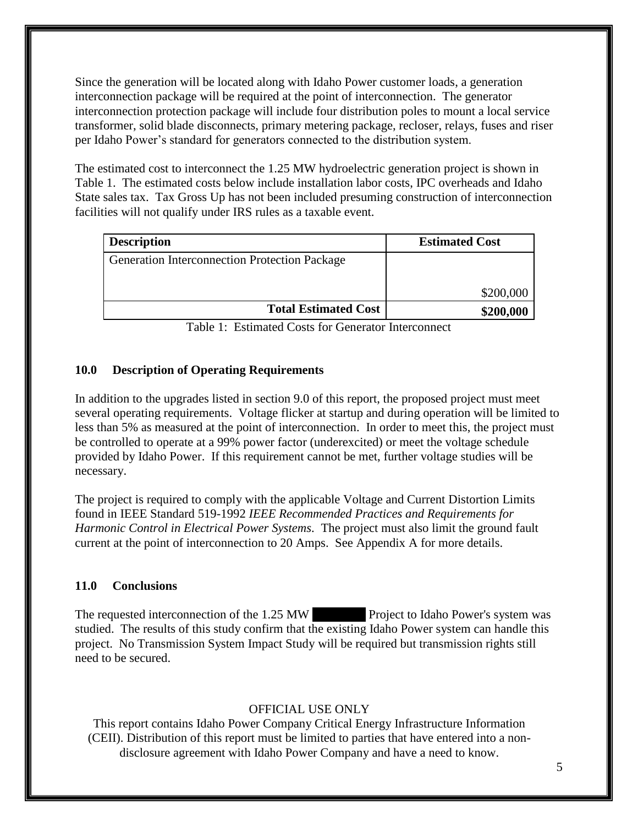Since the generation will be located along with Idaho Power customer loads, a generation interconnection package will be required at the point of interconnection. The generator interconnection protection package will include four distribution poles to mount a local service transformer, solid blade disconnects, primary metering package, recloser, relays, fuses and riser per Idaho Power's standard for generators connected to the distribution system.

The estimated cost to interconnect the 1.25 MW hydroelectric generation project is shown in Table 1. The estimated costs below include installation labor costs, IPC overheads and Idaho State sales tax. Tax Gross Up has not been included presuming construction of interconnection facilities will not qualify under IRS rules as a taxable event.

| <b>Description</b>                                   | <b>Estimated Cost</b> |
|------------------------------------------------------|-----------------------|
| <b>Generation Interconnection Protection Package</b> |                       |
|                                                      | \$200,000             |
| <b>Total Estimated Cost</b>                          | \$200,000             |

Table 1: Estimated Costs for Generator Interconnect

#### **10.0 Description of Operating Requirements**

In addition to the upgrades listed in section 9.0 of this report, the proposed project must meet several operating requirements. Voltage flicker at startup and during operation will be limited to less than 5% as measured at the point of interconnection. In order to meet this, the project must be controlled to operate at a 99% power factor (underexcited) or meet the voltage schedule provided by Idaho Power. If this requirement cannot be met, further voltage studies will be necessary.

The project is required to comply with the applicable Voltage and Current Distortion Limits found in IEEE Standard 519-1992 *IEEE Recommended Practices and Requirements for Harmonic Control in Electrical Power Systems*. The project must also limit the ground fault current at the point of interconnection to 20 Amps. See Appendix A for more details.

#### **11.0 Conclusions**

The requested interconnection of the 1.25 MW Project to Idaho Power's system was studied. The results of this study confirm that the existing Idaho Power system can handle this project. No Transmission System Impact Study will be required but transmission rights still need to be secured.

#### OFFICIAL USE ONLY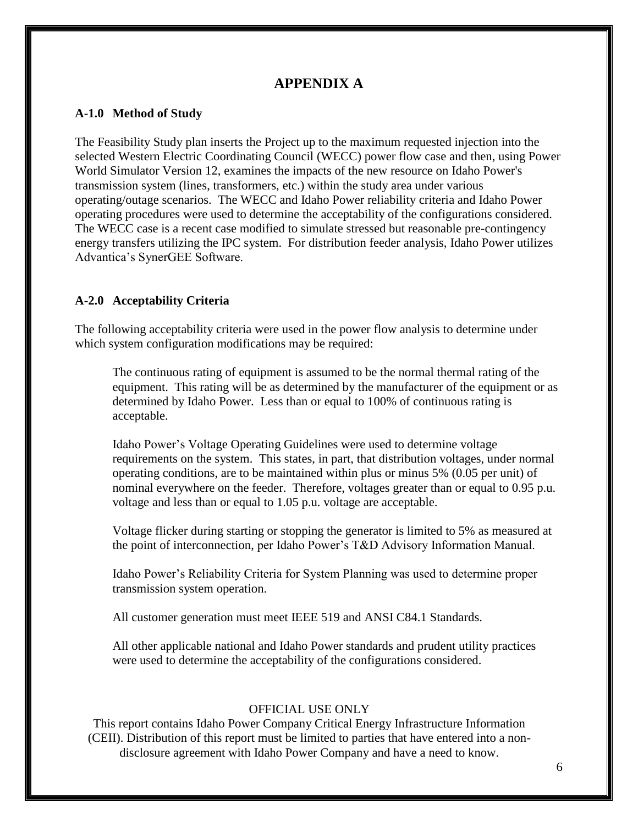## **APPENDIX A**

#### **A-1.0 Method of Study**

The Feasibility Study plan inserts the Project up to the maximum requested injection into the selected Western Electric Coordinating Council (WECC) power flow case and then, using Power World Simulator Version 12, examines the impacts of the new resource on Idaho Power's transmission system (lines, transformers, etc.) within the study area under various operating/outage scenarios. The WECC and Idaho Power reliability criteria and Idaho Power operating procedures were used to determine the acceptability of the configurations considered. The WECC case is a recent case modified to simulate stressed but reasonable pre-contingency energy transfers utilizing the IPC system. For distribution feeder analysis, Idaho Power utilizes Advantica's SynerGEE Software.

#### **A-2.0 Acceptability Criteria**

The following acceptability criteria were used in the power flow analysis to determine under which system configuration modifications may be required:

The continuous rating of equipment is assumed to be the normal thermal rating of the equipment. This rating will be as determined by the manufacturer of the equipment or as determined by Idaho Power. Less than or equal to 100% of continuous rating is acceptable.

Idaho Power's Voltage Operating Guidelines were used to determine voltage requirements on the system. This states, in part, that distribution voltages, under normal operating conditions, are to be maintained within plus or minus 5% (0.05 per unit) of nominal everywhere on the feeder. Therefore, voltages greater than or equal to 0.95 p.u. voltage and less than or equal to 1.05 p.u. voltage are acceptable.

Voltage flicker during starting or stopping the generator is limited to 5% as measured at the point of interconnection, per Idaho Power's T&D Advisory Information Manual.

Idaho Power's Reliability Criteria for System Planning was used to determine proper transmission system operation.

All customer generation must meet IEEE 519 and ANSI C84.1 Standards.

All other applicable national and Idaho Power standards and prudent utility practices were used to determine the acceptability of the configurations considered.

#### OFFICIAL USE ONLY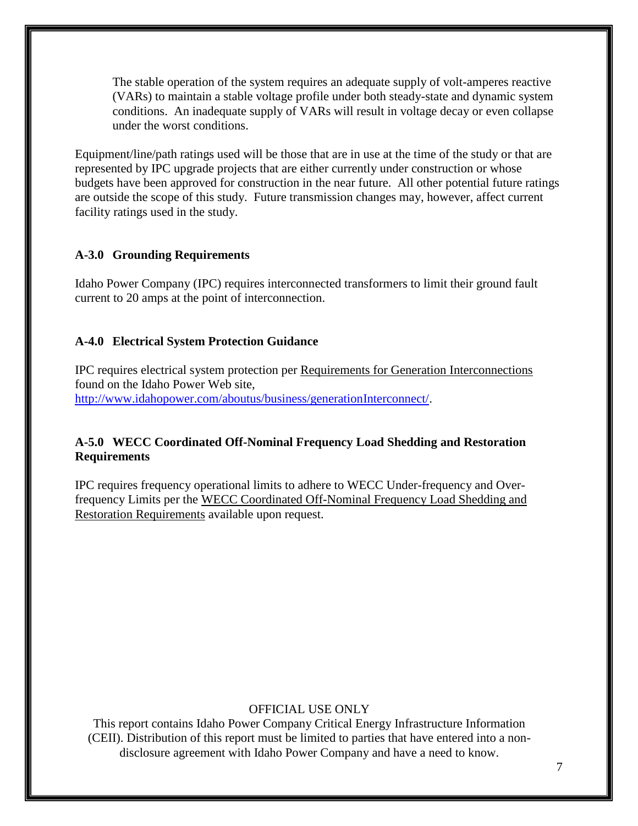The stable operation of the system requires an adequate supply of volt-amperes reactive (VARs) to maintain a stable voltage profile under both steady-state and dynamic system conditions. An inadequate supply of VARs will result in voltage decay or even collapse under the worst conditions.

Equipment/line/path ratings used will be those that are in use at the time of the study or that are represented by IPC upgrade projects that are either currently under construction or whose budgets have been approved for construction in the near future. All other potential future ratings are outside the scope of this study. Future transmission changes may, however, affect current facility ratings used in the study.

#### **A-3.0 Grounding Requirements**

Idaho Power Company (IPC) requires interconnected transformers to limit their ground fault current to 20 amps at the point of interconnection.

#### **A-4.0 Electrical System Protection Guidance**

IPC requires electrical system protection per Requirements for Generation Interconnections found on the Idaho Power Web site, [http://www.idahopower.com/aboutus/business/generationInterconnect/.](http://www.idahopower.com/aboutus/business/generationInterconnect/)

## **A-5.0 WECC Coordinated Off-Nominal Frequency Load Shedding and Restoration Requirements**

IPC requires frequency operational limits to adhere to WECC Under-frequency and Overfrequency Limits per the WECC Coordinated Off-Nominal Frequency Load Shedding and Restoration Requirements available upon request.

#### OFFICIAL USE ONLY